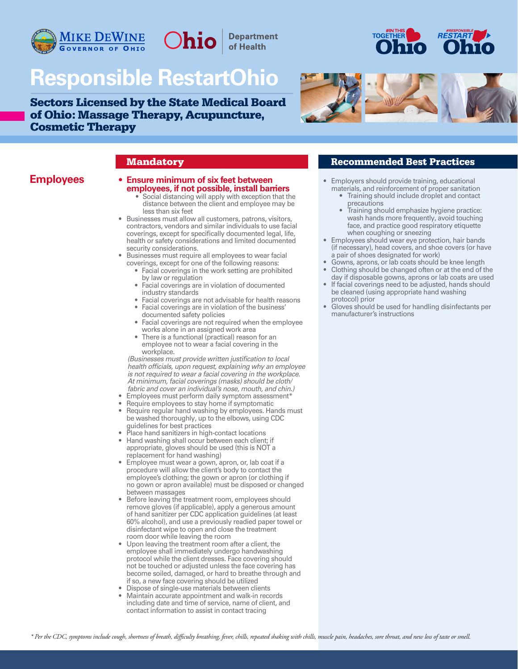

# **Responsible RestartOhio**

Sectors Licensed by the State Medical Board of Ohio: Massage Therapy, Acupuncture, Cosmetic Therapy





### **• Ensure minimum of six feet between employees, if not possible, install barriers** • Social distancing will apply with exception that the

 distance between the client and employee may be less than six feet

**Department** of Health

- Businesses must allow all customers, patrons, visitors, contractors, vendors and similar individuals to use facial coverings, except for specifically documented legal, life, health or safety considerations and limited documented security considerations.
- Businesses must require all employees to wear facial coverings, except for one of the following reasons:
	- Facial coverings in the work setting are prohibited by law or regulation
	- Facial coverings are in violation of documented industry standards
	- Facial coverings are not advisable for health reasons • Facial coverings are in violation of the business'
	- documented safety policies • Facial coverings are not required when the employee
	- works alone in an assigned work area There is a functional (practical) reason for an employee not to wear a facial covering in the workplace.

*(Businesses must provide written justification to local health officials, upon request, explaining why an employee is not required to wear a facial covering in the workplace. At minimum, facial coverings (masks) should be cloth/ fabric and cover an individual's nose, mouth, and chin.)*

- Employees must perform daily symptom assessment\*
- Require employees to stay home if symptomatic
- Require regular hand washing by employees. Hands must be washed thoroughly, up to the elbows, using CDC guidelines for best practices
- Place hand sanitizers in high-contact locations
- Hand washing shall occur between each client; if appropriate, gloves should be used (this is NOT a replacement for hand washing)
- Employee must wear a gown, apron, or, lab coat if a procedure will allow the client's body to contact the employee's clothing; the gown or apron (or clothing if no gown or apron available) must be disposed or changed between massages
- Before leaving the treatment room, employees should remove gloves (if applicable), apply a generous amount of hand sanitizer per CDC application guidelines (at least 60% alcohol), and use a previously readied paper towel or disinfectant wipe to open and close the treatment room door while leaving the room
- Upon leaving the treatment room after a client, the employee shall immediately undergo handwashing protocol while the client dresses. Face covering should not be touched or adjusted unless the face covering has become soiled, damaged, or hard to breathe through and if so, a new face covering should be utilized
- Dispose of single-use materials between clients
- Maintain accurate appointment and walk-in records including date and time of service, name of client, and contact information to assist in contact tracing

### **Mandatory Recommended Best Practices**

- **Employees** Ensure minimum of six feet between Employers should provide training, educational materials, and reinforcement of proper sanitation
	- Training should include droplet and contact precautions
	- Training should emphasize hygiene practice: wash hands more frequently, avoid touching face, and practice good respiratory etiquette when coughing or sneezing
	- Employees should wear eye protection, hair bands (if necessary), head covers, and shoe covers (or have a pair of shoes designated for work)
	- Gowns, aprons, or lab coats should be knee length
	- Clothing should be changed often or at the end of the day if disposable gowns, aprons or lab coats are used
	- If facial coverings need to be adjusted, hands should be cleaned (using appropriate hand washing protocol) prior
	- Gloves should be used for handling disinfectants per manufacturer's instructions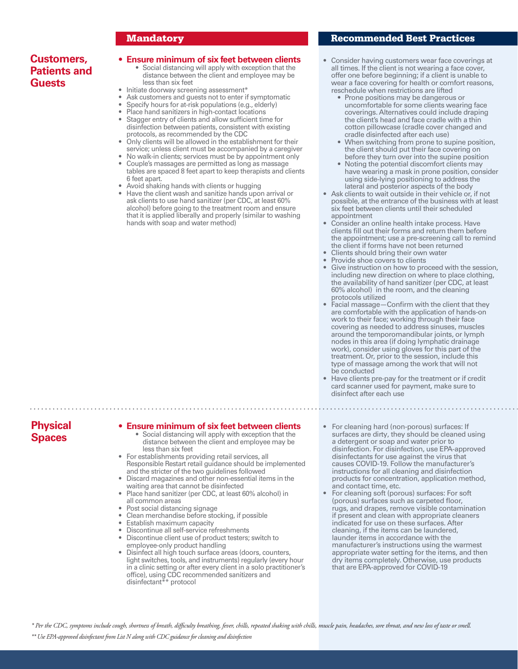### **Customers, Patients and Guests**

## **• Ensure minimum of six feet between clients** • Social distancing will apply with exception that the

- distance between the client and employee may be less than six feet
- Initiate doorway screening assessment\*
- Ask customers and guests not to enter if symptomatic
- Specify hours for at-risk populations (e.g., elderly)
- Place hand sanitizers in high-contact locations • Stagger entry of clients and allow sufficient time for disinfection between patients, consistent with existing protocols, as recommended by the CDC
- Only clients will be allowed in the establishment for their service; unless client must be accompanied by a caregiver
- No walk-in clients; services must be by appointment only • Couple's massages are permitted as long as massage
- tables are spaced 8 feet apart to keep therapists and clients 6 feet apart.
- Avoid shaking hands with clients or hugging
- Have the client wash and sanitize hands upon arrival or ask clients to use hand sanitizer (per CDC, at least 60% alcohol) before going to the treatment room and ensure that it is applied liberally and properly (similar to washing hands with soap and water method)

#### Mandatory Recommended Best Practices

i

- Consider having customers wear face coverings at all times. If the client is not wearing a face cover, offer one before beginning; if a client is unable to wear a face covering for health or comfort reasons, reschedule when restrictions are lifted
	- Prone positions may be dangerous or uncomfortable for some clients wearing face coverings. Alternatives could include draping the client's head and face cradle with a thin cotton pillowcase (cradle cover changed and cradle disinfected after each use)
	- When switching from prone to supine position, the client should put their face covering on before they turn over into the supine position
	- Noting the potential discomfort clients may have wearing a mask in prone position, consider using side-lying positioning to address the lateral and posterior aspects of the body
- Ask clients to wait outside in their vehicle or, if not possible, at the entrance of the business with at least six feet between clients until their scheduled appointment
- Consider an online health intake process. Have clients fill out their forms and return them before the appointment; use a pre-screening call to remind the client if forms have not been returned
- Clients should bring their own water • Provide shoe covers to clients
- Give instruction on how to proceed with the session, including new direction on where to place clothing, the availability of hand sanitizer (per CDC, at least 60% alcohol) in the room, and the cleaning protocols utilized
- Facial massage—Confirm with the client that they are comfortable with the application of hands-on work to their face; working through their face covering as needed to address sinuses, muscles around the temporomandibular joints, or lymph nodes in this area (if doing lymphatic drainage work), consider using gloves for this part of the treatment. Or, prior to the session, include this type of massage among the work that will not be conducted
- Have clients pre-pay for the treatment or if credit card scanner used for payment, make sure to disinfect after each use

## **Physical Spaces**

## **• Ensure minimum of six feet between clients** • Social distancing will apply with exception that the

- distance between the client and employee may be less than six feet
- For establishments providing retail services, all Responsible Restart retail guidance should be implemented and the stricter of the two guidelines followed
- Discard magazines and other non-essential items in the waiting area that cannot be disinfected
- Place hand sanitizer (per CDC, at least 60% alcohol) in all common areas
- Post social distancing signage
- Clean merchandise before stocking, if possible
- Establish maximum capacity
- Discontinue all self-service refreshments
- Discontinue client use of product testers; switch to employee-only product handling
- Disinfect all high touch surface areas (doors, counters, light switches, tools, and instruments) regularly (every hour in a clinic setting or after every client in a solo practitioner's office), using CDC recommended sanitizers and disinfectant\*\* protocol
- For cleaning hard (non-porous) surfaces: If surfaces are dirty, they should be cleaned using a detergent or soap and water prior to disinfection. For disinfection, use EPA-approved disinfectants for use against the virus that causes COVID-19. Follow the manufacturer's instructions for all cleaning and disinfection products for concentration, application method, and contact time, etc.
- For cleaning soft (porous) surfaces: For soft (porous) surfaces such as carpeted floor, rugs, and drapes, remove visible contamination if present and clean with appropriate cleaners indicated for use on these surfaces. After cleaning, if the items can be laundered, launder items in accordance with the manufacturer's instructions using the warmest appropriate water setting for the items, and then dry items completely. Otherwise, use products that are EPA-approved for COVID-19

*\*\* Use EPA-approved disinfectant from List N along with CDC guidance for cleaning and disinfection \* Per the CDC, symptoms include cough, shortness of breath, difficulty breathing, fever, chills, repeated shaking with chills, muscle pain, headaches, sore throat, and new loss of taste or smell.*